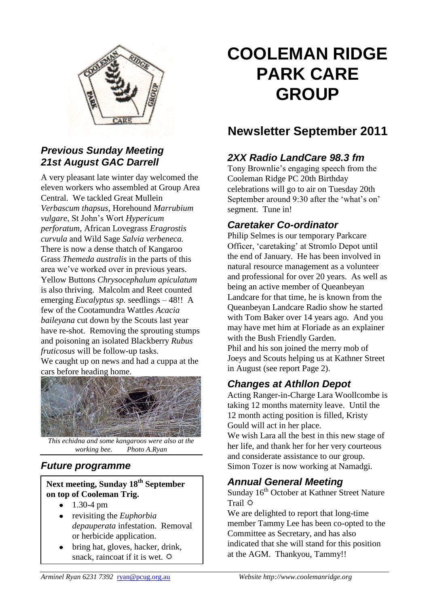

#### *Previous Sunday Meeting 21st August GAC Darrell*

A very pleasant late winter day welcomed the eleven workers who assembled at Group Area Central. We tackled Great Mullein *Verbascum thapsus*, Horehound *Marrubium vulgare*, St John's Wort *Hypericum perforatum*, African Lovegrass *Eragrostis curvula* and Wild Sage *Salvia verbeneca.* There is now a dense thatch of Kangaroo Grass *Themeda australis* in the parts of this area we've worked over in previous years. Yellow Buttons *Chrysocephalum apiculatum*  is also thriving. Malcolm and Reet counted emerging *Eucalyptus sp.* seedlings – 48!! A few of the Cootamundra Wattles *Acacia baileyana* cut down by the Scouts last year have re-shot. Removing the sprouting stumps and poisoning an isolated Blackberry *Rubus fruticosus* will be follow-up tasks.

We caught up on news and had a cuppa at the cars before heading home.



*This echidna and some kangaroos were also at the working bee. Photo A.Ryan*

## *Future programme*

#### **Next meeting, Sunday 18th September on top of Cooleman Trig.**

- 1.30-4 pm  $\bullet$
- revisiting the *Euphorbia depauperata* infestation. Removal or herbicide application.
- bring hat, gloves, hacker, drink, snack, raincoat if it is wet.  $\ddot{\varphi}$

# **COOLEMAN RIDGE PARK CARE GROUP**

# **Newsletter September 2011**

# *2XX Radio LandCare 98.3 fm*

Tony Brownlie's engaging speech from the Cooleman Ridge PC 20th Birthday celebrations will go to air on Tuesday 20th September around 9:30 after the 'what's on' segment. Tune in!

# *Caretaker Co-ordinator*

Philip Selmes is our temporary Parkcare Officer, 'caretaking' at Stromlo Depot until the end of January. He has been involved in natural resource management as a volunteer and professional for over 20 years. As well as being an active member of Queanbeyan Landcare for that time, he is known from the Queanbeyan Landcare Radio show he started with Tom Baker over 14 years ago. And you may have met him at Floriade as an explainer with the Bush Friendly Garden. Phil and his son joined the merry mob of Joeys and Scouts helping us at Kathner Street in August (see report Page 2).

# *Changes at Athllon Depot*

Acting Ranger-in-Charge Lara Woollcombe is taking 12 months maternity leave. Until the 12 month acting position is filled, Kristy Gould will act in her place.

We wish Lara all the best in this new stage of her life, and thank her for her very courteous and considerate assistance to our group. Simon Tozer is now working at Namadgi.

## *Annual General Meeting*

Sunday 16<sup>th</sup> October at Kathner Street Nature Trail  $\Phi$ 

We are delighted to report that long-time member Tammy Lee has been co-opted to the Committee as Secretary, and has also indicated that she will stand for this position at the AGM. Thankyou, Tammy!!